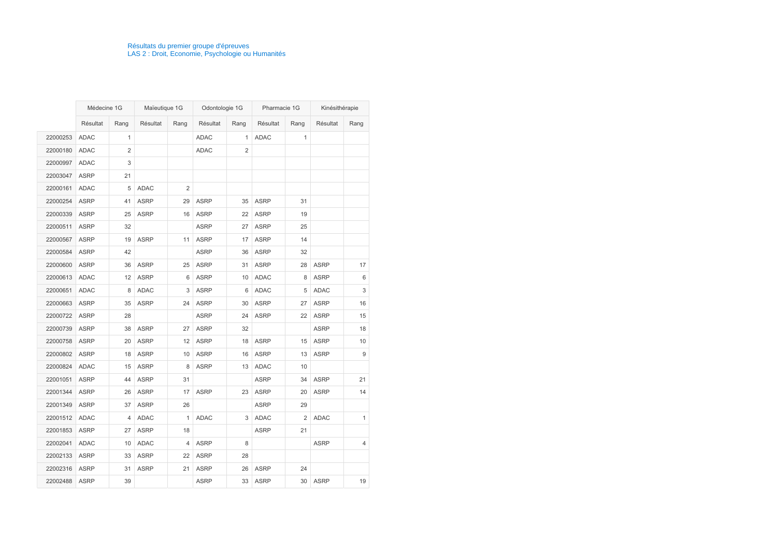|          | Médecine 1G |              | Maïeutique 1G |                | Odontologie 1G |                | Pharmacie 1G |                | Kinésithérapie |              |
|----------|-------------|--------------|---------------|----------------|----------------|----------------|--------------|----------------|----------------|--------------|
|          | Résultat    | Rang         | Résultat      | Rang           | Résultat       | Rang           | Résultat     | Rang           | Résultat       | Rang         |
| 22000253 | <b>ADAC</b> | $\mathbf{1}$ |               |                | <b>ADAC</b>    | $\mathbf{1}$   | <b>ADAC</b>  | 1              |                |              |
| 22000180 | <b>ADAC</b> | 2            |               |                | <b>ADAC</b>    | $\overline{2}$ |              |                |                |              |
| 22000997 | <b>ADAC</b> | 3            |               |                |                |                |              |                |                |              |
| 22003047 | <b>ASRP</b> | 21           |               |                |                |                |              |                |                |              |
| 22000161 | <b>ADAC</b> | 5            | <b>ADAC</b>   | $\overline{2}$ |                |                |              |                |                |              |
| 22000254 | <b>ASRP</b> | 41           | <b>ASRP</b>   | 29             | <b>ASRP</b>    | 35             | <b>ASRP</b>  | 31             |                |              |
| 22000339 | <b>ASRP</b> | 25           | <b>ASRP</b>   | 16             | <b>ASRP</b>    | 22             | <b>ASRP</b>  | 19             |                |              |
| 22000511 | <b>ASRP</b> | 32           |               |                | <b>ASRP</b>    | 27             | <b>ASRP</b>  | 25             |                |              |
| 22000567 | <b>ASRP</b> | 19           | <b>ASRP</b>   | 11             | <b>ASRP</b>    | 17             | <b>ASRP</b>  | 14             |                |              |
| 22000584 | <b>ASRP</b> | 42           |               |                | <b>ASRP</b>    | 36             | <b>ASRP</b>  | 32             |                |              |
| 22000600 | <b>ASRP</b> | 36           | <b>ASRP</b>   | 25             | <b>ASRP</b>    | 31             | <b>ASRP</b>  | 28             | <b>ASRP</b>    | 17           |
| 22000613 | <b>ADAC</b> | 12           | <b>ASRP</b>   | 6              | <b>ASRP</b>    | 10             | <b>ADAC</b>  | 8              | <b>ASRP</b>    | $\,6\,$      |
| 22000651 | <b>ADAC</b> | 8            | <b>ADAC</b>   | 3              | <b>ASRP</b>    | 6              | <b>ADAC</b>  | 5              | <b>ADAC</b>    | $\sqrt{3}$   |
| 22000663 | <b>ASRP</b> | 35           | <b>ASRP</b>   | 24             | <b>ASRP</b>    | 30             | <b>ASRP</b>  | 27             | <b>ASRP</b>    | 16           |
| 22000722 | <b>ASRP</b> | 28           |               |                | <b>ASRP</b>    | 24             | <b>ASRP</b>  | 22             | <b>ASRP</b>    | 15           |
| 22000739 | <b>ASRP</b> | 38           | <b>ASRP</b>   | 27             | <b>ASRP</b>    | 32             |              |                | <b>ASRP</b>    | 18           |
| 22000758 | <b>ASRP</b> | 20           | <b>ASRP</b>   | 12             | <b>ASRP</b>    | 18             | <b>ASRP</b>  | 15             | <b>ASRP</b>    | 10           |
| 22000802 | <b>ASRP</b> | 18           | <b>ASRP</b>   | 10             | <b>ASRP</b>    | 16             | <b>ASRP</b>  | 13             | <b>ASRP</b>    | 9            |
| 22000824 | <b>ADAC</b> | 15           | <b>ASRP</b>   | 8              | <b>ASRP</b>    | 13             | <b>ADAC</b>  | 10             |                |              |
| 22001051 | <b>ASRP</b> | 44           | <b>ASRP</b>   | 31             |                |                | <b>ASRP</b>  | 34             | <b>ASRP</b>    | 21           |
| 22001344 | <b>ASRP</b> | 26           | <b>ASRP</b>   | 17             | <b>ASRP</b>    | 23             | <b>ASRP</b>  | 20             | <b>ASRP</b>    | 14           |
| 22001349 | <b>ASRP</b> | 37           | <b>ASRP</b>   | 26             |                |                | <b>ASRP</b>  | 29             |                |              |
| 22001512 | <b>ADAC</b> | 4            | <b>ADAC</b>   | 1              | <b>ADAC</b>    | 3              | <b>ADAC</b>  | $\overline{2}$ | <b>ADAC</b>    | $\mathbf{1}$ |
| 22001853 | <b>ASRP</b> | 27           | <b>ASRP</b>   | 18             |                |                | <b>ASRP</b>  | 21             |                |              |
| 22002041 | <b>ADAC</b> | 10           | ADAC          | 4              | <b>ASRP</b>    | 8              |              |                | <b>ASRP</b>    | 4            |
| 22002133 | <b>ASRP</b> | 33           | <b>ASRP</b>   | 22             | <b>ASRP</b>    | 28             |              |                |                |              |
| 22002316 | <b>ASRP</b> | 31           | <b>ASRP</b>   | 21             | <b>ASRP</b>    | 26             | <b>ASRP</b>  | 24             |                |              |
| 22002488 | <b>ASRP</b> | 39           |               |                | <b>ASRP</b>    | 33             | <b>ASRP</b>  | 30             | <b>ASRP</b>    | 19           |

## Résultats du premier groupe d'épreuves LAS 2 : Droit, Economie, Psychologie ou Humanités